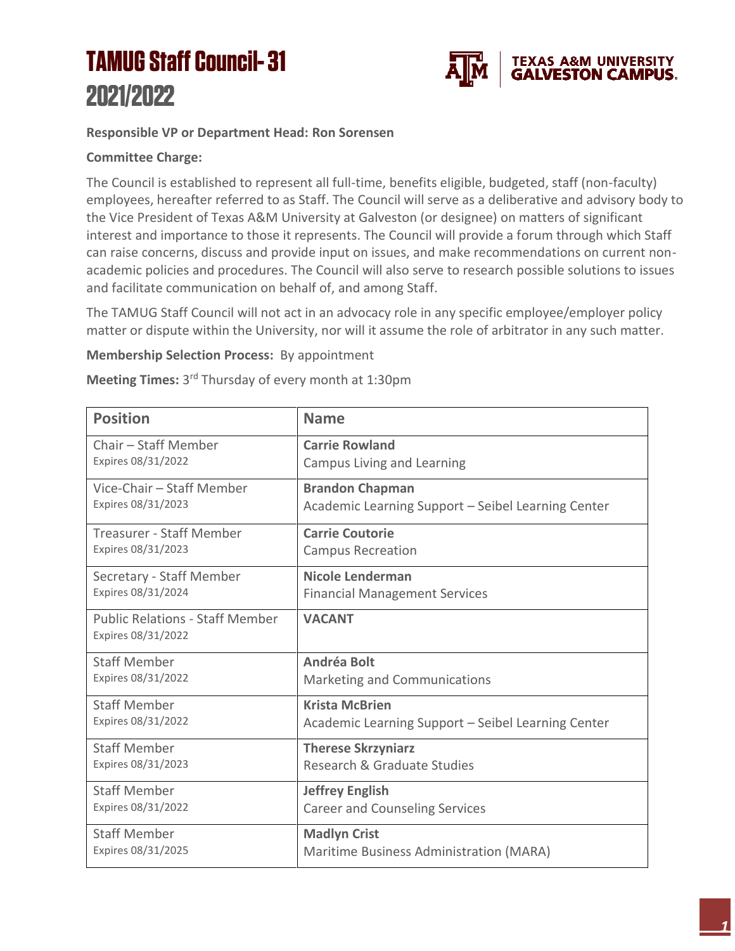## **TAMUG Staff Council-31** 2021/2022



## **Responsible VP or Department Head: Ron Sorensen**

## **Committee Charge:**

The Council is established to represent all full-time, benefits eligible, budgeted, staff (non-faculty) employees, hereafter referred to as Staff. The Council will serve as a deliberative and advisory body to the Vice President of Texas A&M University at Galveston (or designee) on matters of significant interest and importance to those it represents. The Council will provide a forum through which Staff can raise concerns, discuss and provide input on issues, and make recommendations on current nonacademic policies and procedures. The Council will also serve to research possible solutions to issues and facilitate communication on behalf of, and among Staff.

The TAMUG Staff Council will not act in an advocacy role in any specific employee/employer policy matter or dispute within the University, nor will it assume the role of arbitrator in any such matter.

## **Membership Selection Process:** By appointment

Meeting Times: 3<sup>rd</sup> Thursday of every month at 1:30pm

| <b>Position</b>                                              | <b>Name</b>                                        |
|--------------------------------------------------------------|----------------------------------------------------|
| Chair - Staff Member                                         | <b>Carrie Rowland</b>                              |
| Expires 08/31/2022                                           | Campus Living and Learning                         |
| Vice-Chair - Staff Member                                    | <b>Brandon Chapman</b>                             |
| Expires 08/31/2023                                           | Academic Learning Support - Seibel Learning Center |
| Treasurer - Staff Member                                     | <b>Carrie Coutorie</b>                             |
| Expires 08/31/2023                                           | <b>Campus Recreation</b>                           |
| Secretary - Staff Member                                     | Nicole Lenderman                                   |
| Expires 08/31/2024                                           | <b>Financial Management Services</b>               |
| <b>Public Relations - Staff Member</b><br>Expires 08/31/2022 | <b>VACANT</b>                                      |
| <b>Staff Member</b>                                          | Andréa Bolt                                        |
| Expires 08/31/2022                                           | Marketing and Communications                       |
| <b>Staff Member</b>                                          | <b>Krista McBrien</b>                              |
| Expires 08/31/2022                                           | Academic Learning Support - Seibel Learning Center |
| <b>Staff Member</b>                                          | <b>Therese Skrzyniarz</b>                          |
| Expires 08/31/2023                                           | Research & Graduate Studies                        |
| <b>Staff Member</b>                                          | <b>Jeffrey English</b>                             |
| Expires 08/31/2022                                           | <b>Career and Counseling Services</b>              |
| <b>Staff Member</b>                                          | <b>Madlyn Crist</b>                                |
| Expires 08/31/2025                                           | Maritime Business Administration (MARA)            |